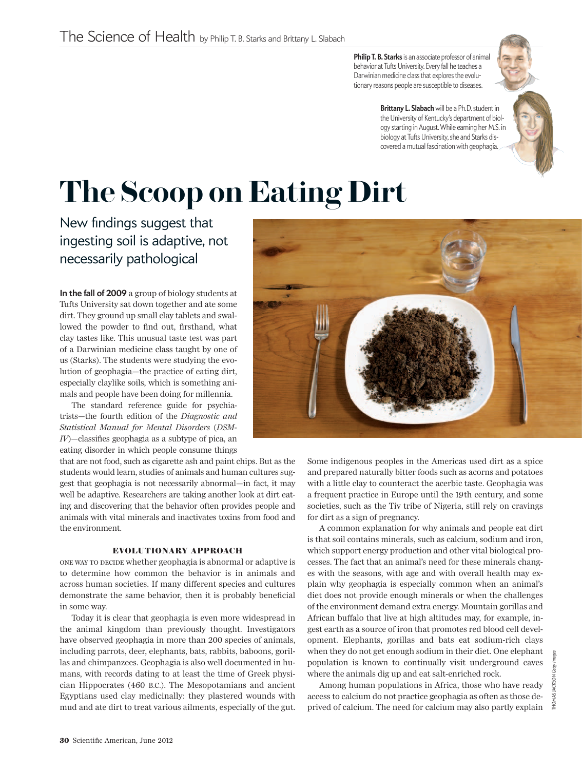**Philip T. B. Starks**is an associate professor of animal behavior at Tufts University. Every fall he teaches a Darwinian medicine class that explores the evolutionary reasons people are susceptible to diseases.

> **Brittany L. Slabach** will be a Ph.D. student in the University of Kentucky's department of biology starting in August. While earning her M.S. in biology at Tufts University, she and Starks discovered a mutual fascination with geophagia.

## **The Scoop on Eating Dirt**

New findings suggest that ingesting soil is adaptive, not necessarily pathological

**In the fall of 2009** a group of biology students at Tufts University sat down together and ate some dirt. They ground up small clay tablets and swallowed the powder to find out, firsthand, what clay tastes like. This unusual taste test was part of a Darwinian medicine class taught by one of us (Starks). The students were studying the evolution of geophagia—the practice of eating dirt, especially claylike soils, which is something animals and people have been doing for millennia.

The standard reference guide for psychiatrists—the fourth edition of the *Diagnostic and Statistical Manual for Mental Disorders* (*DSM-IV*)—classifies geophagia as a subtype of pica, an eating disorder in which people consume things

that are not food, such as cigarette ash and paint chips. But as the students would learn, studies of animals and human cultures suggest that geophagia is not necessarily abnormal—in fact, it may well be adaptive. Researchers are taking another look at dirt eating and discovering that the behavior often provides people and animals with vital minerals and inactivates toxins from food and the environment.

## **EVOLUTIONARY APPROACH**

one way to decide whether geophagia is abnormal or adaptive is to determine how common the behavior is in animals and across human societies. If many different species and cultures demonstrate the same behavior, then it is probably beneficial in some way.

Today it is clear that geophagia is even more widespread in the animal kingdom than previously thought. Investigators have observed geophagia in more than 200 species of animals, including parrots, deer, elephants, bats, rabbits, baboons, gorillas and chimpanzees. Geophagia is also well documented in humans, with records dating to at least the time of Greek physician Hippocrates (460 B.C.). The Mesopotamians and ancient Egyptians used clay medicinally: they plastered wounds with mud and ate dirt to treat various ailments, especially of the gut. Some indigenous peoples in the Americas used dirt as a spice and prepared naturally bitter foods such as acorns and potatoes with a little clay to counteract the acerbic taste. Geophagia was a frequent practice in Europe until the 19th century, and some societies, such as the Tiv tribe of Nigeria, still rely on cravings for dirt as a sign of pregnancy.

A common explanation for why animals and people eat dirt is that soil contains minerals, such as calcium, sodium and iron, which support energy production and other vital biological processes. The fact that an animal's need for these minerals changes with the seasons, with age and with overall health may explain why geophagia is especially common when an animal's diet does not provide enough minerals or when the challenges of the environment demand extra energy. Mountain gorillas and African buffalo that live at high altitudes may, for example, ingest earth as a source of iron that promotes red blood cell development. Elephants, gorillas and bats eat sodium-rich clays when they do not get enough sodium in their diet. One elephant population is known to continually visit underground caves where the animals dig up and eat salt-enriched rock.

Among human populations in Africa, those who have ready access to calcium do not practice geophagia as often as those deprived of calcium. The need for calcium may also partly explain